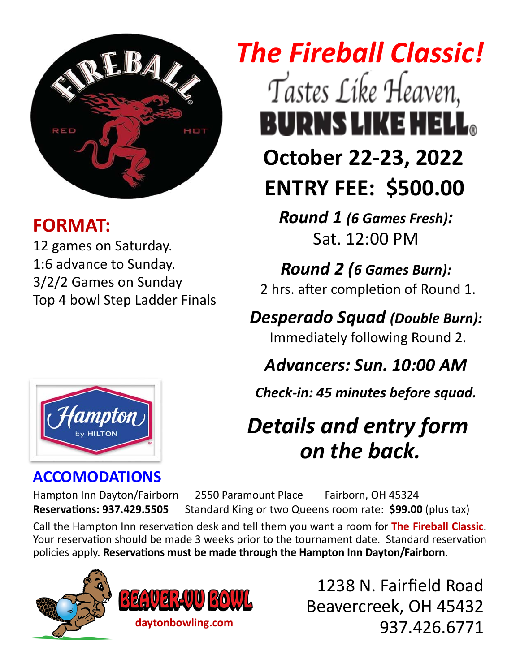

### **FORMAT:**

12 games on Saturday. 1:6 advance to Sunday. 3/2/2 Games on Sunday Top 4 bowl Step Ladder Finals

# *The Fireball Classic!*  Tastes Like Heaven, BURNS LIKE HELL。 **October 22‐23, 2022 ENTRY FEE: \$500.00**

*Round 1 (6 Games Fresh):*  Sat. 12:00 PM

*Round 2 (6 Games Burn):* 2 hrs. after completion of Round 1.

*Desperado Squad (Double Burn):*  Immediately following Round 2.

### *Advancers: Sun. 10:00 AM*

*Check‐in: 45 minutes before squad.* 

## *Details and entry form on the back.*

#### **ACCOMODATIONS**

Hampton Inn Dayton/Fairborn 2550 Paramount Place Fairborn, OH 45324 **ReservaƟons: 937.429.5505** Standard King or two Queens room rate: **\$99.00** (plus tax)

Call the Hampton Inn reservation desk and tell them you want a room for The Fireball Classic. Your reservation should be made 3 weeks prior to the tournament date. Standard reservation policies apply. **ReservaƟons must be made through the Hampton Inn Dayton/Fairborn**.





1238 N. Fairfield Road Beavercreek, OH 45432 937.426.6771